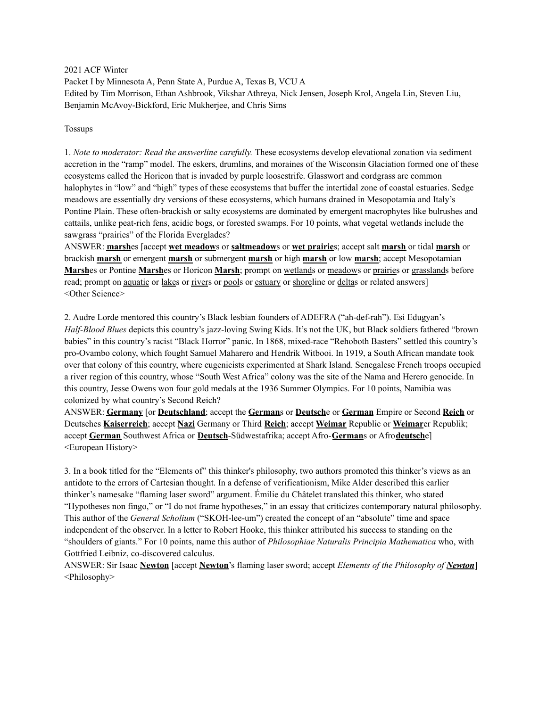2021 ACF Winter

Packet I by Minnesota A, Penn State A, Purdue A, Texas B, VCU A Edited by Tim Morrison, Ethan Ashbrook, Vikshar Athreya, Nick Jensen, Joseph Krol, Angela Lin, Steven Liu, Benjamin McAvoy-Bickford, Eric Mukherjee, and Chris Sims

#### Tossups

1. *Note to moderator: Read the answerline carefully.* These ecosystems develop elevational zonation via sediment accretion in the "ramp" model. The eskers, drumlins, and moraines of the Wisconsin Glaciation formed one of these ecosystems called the Horicon that is invaded by purple loosestrife. Glasswort and cordgrass are common halophytes in "low" and "high" types of these ecosystems that buffer the intertidal zone of coastal estuaries. Sedge meadows are essentially dry versions of these ecosystems, which humans drained in Mesopotamia and Italy's Pontine Plain. These often-brackish or salty ecosystems are dominated by emergent macrophytes like bulrushes and cattails, unlike peat-rich fens, acidic bogs, or forested swamps. For 10 points, what vegetal wetlands include the sawgrass "prairies" of the Florida Everglades?

ANSWER: **marsh**es [accept **wet meadow**s or **saltmeadow**s or **wet prairie**s; accept salt **marsh** or tidal **marsh** or brackish **marsh** or emergent **marsh** or submergent **marsh** or high **marsh** or low **marsh**; accept Mesopotamian **Marsh**es or Pontine **Marsh**es or Horicon **Marsh**; prompt on wetlands or meadows or prairies or grasslands before read; prompt on aquatic or lakes or rivers or pools or estuary or shoreline or deltas or related answers] <Other Science>

2. Audre Lorde mentored this country's Black lesbian founders of ADEFRA ("ah-def-rah"). Esi Edugyan's *Half-Blood Blues* depicts this country's jazz-loving Swing Kids. It's not the UK, but Black soldiers fathered "brown babies" in this country's racist "Black Horror" panic. In 1868, mixed-race "Rehoboth Basters" settled this country's pro-Ovambo colony, which fought Samuel Maharero and Hendrik Witbooi. In 1919, a South African mandate took over that colony of this country, where eugenicists experimented at Shark Island. Senegalese French troops occupied a river region of this country, whose "South West Africa" colony was the site of the Nama and Herero genocide. In this country, Jesse Owens won four gold medals at the 1936 Summer Olympics. For 10 points, Namibia was colonized by what country's Second Reich?

ANSWER: **Germany** [or **Deutschland**; accept the **German**s or **Deutsch**e or **German** Empire or Second **Reich** or Deutsches **Kaiserreich**; accept **Nazi** Germany or Third **Reich**; accept **Weimar** Republic or **Weimar**er Republik; accept **German** Southwest Africa or **Deutsch**-Südwestafrika; accept Afro-**German**s or Afro**deutsch**e] <European History>

3. In a book titled for the "Elements of" this thinker's philosophy, two authors promoted this thinker's views as an antidote to the errors of Cartesian thought. In a defense of verificationism, Mike Alder described this earlier thinker's namesake "flaming laser sword" argument. Émilie du Châtelet translated this thinker, who stated "Hypotheses non fingo," or "I do not frame hypotheses," in an essay that criticizes contemporary natural philosophy. This author of the *General Scholium* ("SKOH-lee-um") created the concept of an "absolute" time and space independent of the observer. In a letter to Robert Hooke, this thinker attributed his success to standing on the "shoulders of giants." For 10 points, name this author of *Philosophiae Naturalis Principia Mathematica* who, with Gottfried Leibniz, co-discovered calculus.

ANSWER: Sir Isaac **Newton** [accept **Newton**'s flaming laser sword; accept *Elements of the Philosophy of Newton*] <Philosophy>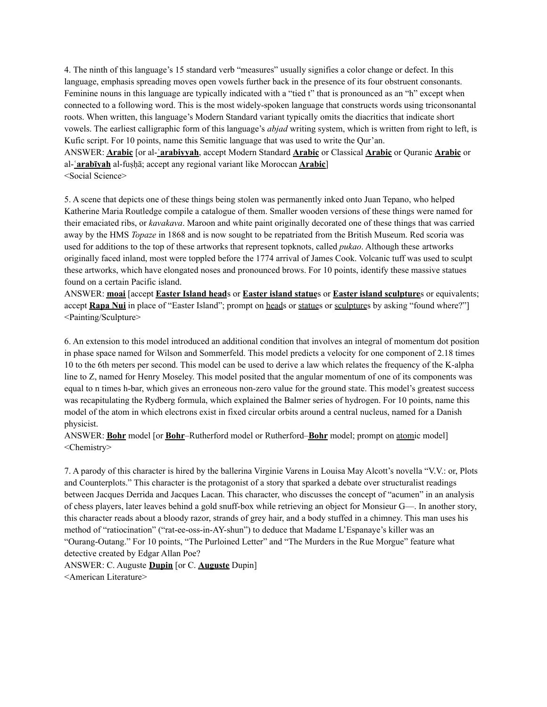4. The ninth of this language's 15 standard verb "measures" usually signifies a color change or defect. In this language, emphasis spreading moves open vowels further back in the presence of its four obstruent consonants. Feminine nouns in this language are typically indicated with a "tied t" that is pronounced as an "h" except when connected to a following word. This is the most widely-spoken language that constructs words using triconsonantal roots. When written, this language's Modern Standard variant typically omits the diacritics that indicate short vowels. The earliest calligraphic form of this language's *abjad* writing system, which is written from right to left, is Kufic script. For 10 points, name this Semitic language that was used to write the Qur'an.

ANSWER: **Arabic** [or al-**ʿarabiyyah**, accept Modern Standard **Arabic** or Classical **Arabic** or Quranic **Arabic** or al-**ʿarabīyah** al-fuṣḥā; accept any regional variant like Moroccan **Arabic**] <Social Science>

5. A scene that depicts one of these things being stolen was permanently inked onto Juan Tepano, who helped Katherine Maria Routledge compile a catalogue of them. Smaller wooden versions of these things were named for their emaciated ribs, or *kavakava*. Maroon and white paint originally decorated one of these things that was carried away by the HMS *Topaze* in 1868 and is now sought to be repatriated from the British Museum. Red scoria was used for additions to the top of these artworks that represent topknots, called *pukao*. Although these artworks originally faced inland, most were toppled before the 1774 arrival of James Cook. Volcanic tuff was used to sculpt these artworks, which have elongated noses and pronounced brows. For 10 points, identify these massive statues found on a certain Pacific island.

ANSWER: **moai** [accept **Easter Island head**s or **Easter island statue**s or **Easter island sculpture**s or equivalents; accept **Rapa Nui** in place of "Easter Island"; prompt on heads or statues or sculptures by asking "found where?"] <Painting/Sculpture>

6. An extension to this model introduced an additional condition that involves an integral of momentum dot position in phase space named for Wilson and Sommerfeld. This model predicts a velocity for one component of 2.18 times 10 to the 6th meters per second. This model can be used to derive a law which relates the frequency of the K-alpha line to Z, named for Henry Moseley. This model posited that the angular momentum of one of its components was equal to n times h-bar, which gives an erroneous non-zero value for the ground state. This model's greatest success was recapitulating the Rydberg formula, which explained the Balmer series of hydrogen. For 10 points, name this model of the atom in which electrons exist in fixed circular orbits around a central nucleus, named for a Danish physicist.

ANSWER: **Bohr** model [or **Bohr**–Rutherford model or Rutherford–**Bohr** model; prompt on atomic model] <Chemistry>

7. A parody of this character is hired by the ballerina Virginie Varens in Louisa May Alcott's novella "V.V.: or, Plots and Counterplots." This character is the protagonist of a story that sparked a debate over structuralist readings between Jacques Derrida and Jacques Lacan. This character, who discusses the concept of "acumen" in an analysis of chess players, later leaves behind a gold snuff-box while retrieving an object for Monsieur G—. In another story, this character reads about a bloody razor, strands of grey hair, and a body stuffed in a chimney. This man uses his method of "ratiocination" ("rat-ee-oss-in-AY-shun") to deduce that Madame L'Espanaye's killer was an "Ourang-Outang." For 10 points, "The Purloined Letter" and "The Murders in the Rue Morgue" feature what detective created by Edgar Allan Poe?

ANSWER: C. Auguste **Dupin** [or C. **Auguste** Dupin]

<American Literature>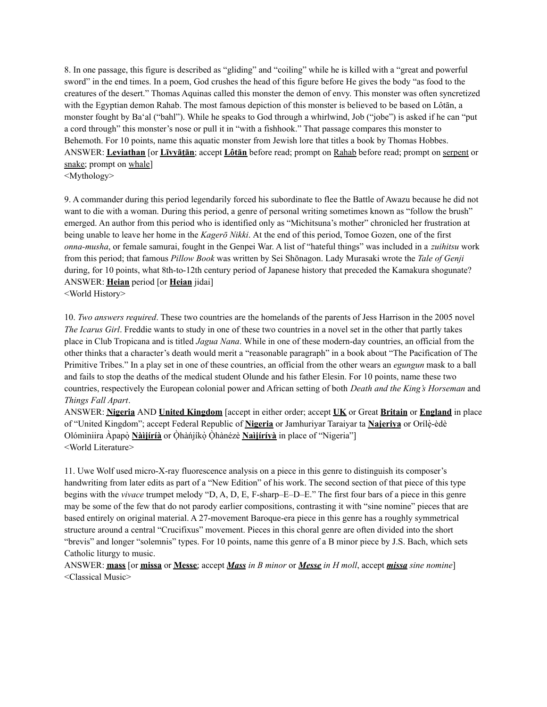8. In one passage, this figure is described as "gliding" and "coiling" while he is killed with a "great and powerful sword" in the end times. In a poem, God crushes the head of this figure before He gives the body "as food to the creatures of the desert." Thomas Aquinas called this monster the demon of envy. This monster was often syncretized with the Egyptian demon Rahab. The most famous depiction of this monster is believed to be based on Lôtān, a monster fought by Ba'al ("bahl"). While he speaks to God through a whirlwind, Job ("jobe") is asked if he can "put a cord through" this monster's nose or pull it in "with a fishhook." That passage compares this monster to Behemoth. For 10 points, name this aquatic monster from Jewish lore that titles a book by Thomas Hobbes. ANSWER: **Leviathan** [or **Līvyāṯān**; accept **Lôtān** before read; prompt on Rahab before read; prompt on serpent or snake; prompt on whale] <Mythology>

9. A commander during this period legendarily forced his subordinate to flee the Battle of Awazu because he did not want to die with a woman. During this period, a genre of personal writing sometimes known as "follow the brush" emerged. An author from this period who is identified only as "Michitsuna's mother" chronicled her frustration at being unable to leave her home in the *Kagerō Nikki*. At the end of this period, Tomoe Gozen, one of the first *onna-musha*, or female samurai, fought in the Genpei War. A list of "hateful things" was included in a *zuihitsu* work from this period; that famous *Pillow Book* was written by Sei Shōnagon. Lady Murasaki wrote the *Tale of Genji* during, for 10 points, what 8th-to-12th century period of Japanese history that preceded the Kamakura shogunate? ANSWER: **Heian** period [or **Heian** jidai]

<World History>

10. *Two answers required*. These two countries are the homelands of the parents of Jess Harrison in the 2005 novel *The Icarus Girl*. Freddie wants to study in one of these two countries in a novel set in the other that partly takes place in Club Tropicana and is titled *Jagua Nana*. While in one of these modern-day countries, an official from the other thinks that a character's death would merit a "reasonable paragraph" in a book about "The Pacification of The Primitive Tribes." In a play set in one of these countries, an official from the other wears an *egungun* mask to a ball and fails to stop the deaths of the medical student Olunde and his father Elesin. For 10 points, name these two countries, respectively the European colonial power and African setting of both *Death and the King's Horseman* and *Things Fall Apart*.

ANSWER: **Nigeria** AND **United Kingdom** [accept in either order; accept **UK** or Great **Britain** or **England** in place of "United Kingdom"; accept Federal Republic of **Nigeria** or Jamhuriyar Taraiyar ta **Najeriya** or Orílè-èdè Olómìniira Àpapọ̀ **Nàìjíríà** or Ọ̀hàńjíkọ̀ Ọ̀hànézè **Naìjíríyà** in place of "Nigeria"] <World Literature>

11. Uwe Wolf used micro-X-ray fluorescence analysis on a piece in this genre to distinguish its composer's handwriting from later edits as part of a "New Edition" of his work. The second section of that piece of this type begins with the *vivace* trumpet melody "D, A, D, E, F-sharp–E–D–E." The first four bars of a piece in this genre may be some of the few that do not parody earlier compositions, contrasting it with "sine nomine" pieces that are based entirely on original material. A 27-movement Baroque-era piece in this genre has a roughly symmetrical structure around a central "Crucifixus" movement. Pieces in this choral genre are often divided into the short "brevis" and longer "solemnis" types. For 10 points, name this genre of a B minor piece by J.S. Bach, which sets Catholic liturgy to music.

ANSWER: **mass** [or **missa** or **Messe**; accept *Mass in B minor* or *Messe in H moll*, accept *missa sine nomine*] <Classical Music>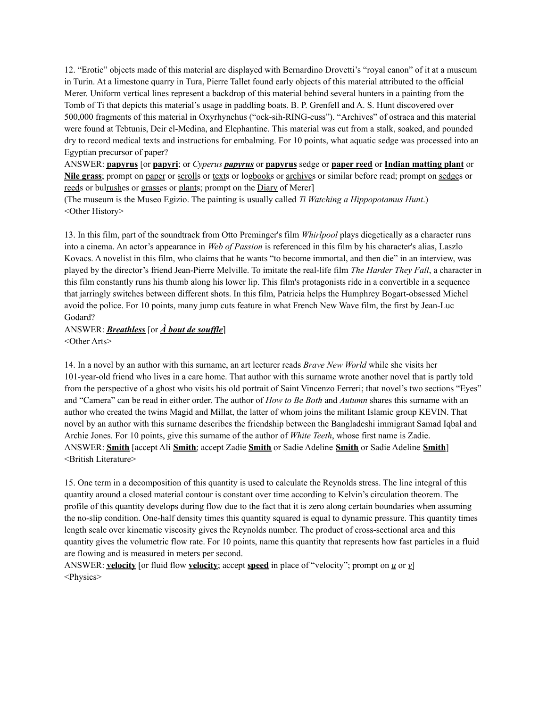12. "Erotic" objects made of this material are displayed with Bernardino Drovetti's "royal canon" of it at a museum in Turin. At a limestone quarry in Tura, Pierre Tallet found early objects of this material attributed to the official Merer. Uniform vertical lines represent a backdrop of this material behind several hunters in a painting from the Tomb of Ti that depicts this material's usage in paddling boats. B. P. Grenfell and A. S. Hunt discovered over 500,000 fragments of this material in Oxyrhynchus ("ock-sih-RING-cuss"). "Archives" of ostraca and this material were found at Tebtunis, Deir el-Medina, and Elephantine. This material was cut from a stalk, soaked, and pounded dry to record medical texts and instructions for embalming. For 10 points, what aquatic sedge was processed into an Egyptian precursor of paper?

ANSWER: **papyrus** [or **papyri**; or *Cyperus papyrus* or **papyrus** sedge or **paper reed** or **Indian matting plant** or Nile grass; prompt on paper or scrolls or texts or logbooks or archives or similar before read; prompt on sedges or reeds or bulrushes or grasses or plants; prompt on the Diary of Merer]

(The museum is the Museo Egizio. The painting is usually called *Ti Watching a Hippopotamus Hunt*.) <Other History>

13. In this film, part of the soundtrack from Otto Preminger's film *Whirlpool* plays diegetically as a character runs into a cinema. An actor's appearance in *Web of Passion* is referenced in this film by his character's alias, Laszlo Kovacs. A novelist in this film, who claims that he wants "to become immortal, and then die" in an interview, was played by the director's friend Jean-Pierre Melville. To imitate the real-life film *The Harder They Fall*, a character in this film constantly runs his thumb along his lower lip. This film's protagonists ride in a convertible in a sequence that jarringly switches between different shots. In this film, Patricia helps the Humphrey Bogart-obsessed Michel avoid the police. For 10 points, many jump cuts feature in what French New Wave film, the first by Jean-Luc Godard?

# ANSWER: **Breathless** [or  $\overrightarrow{A}$  *bout de souffle***]**

<Other Arts>

14. In a novel by an author with this surname, an art lecturer reads *Brave New World* while she visits her 101-year-old friend who lives in a care home. That author with this surname wrote another novel that is partly told from the perspective of a ghost who visits his old portrait of Saint Vincenzo Ferreri; that novel's two sections "Eyes" and "Camera" can be read in either order. The author of *How to Be Both* and *Autumn* shares this surname with an author who created the twins Magid and Millat, the latter of whom joins the militant Islamic group KEVIN. That novel by an author with this surname describes the friendship between the Bangladeshi immigrant Samad Iqbal and Archie Jones. For 10 points, give this surname of the author of *White Teeth*, whose first name is Zadie. ANSWER: **Smith** [accept Ali **Smith**; accept Zadie **Smith** or Sadie Adeline **Smith** or Sadie Adeline **Smith**] <British Literature>

15. One term in a decomposition of this quantity is used to calculate the Reynolds stress. The line integral of this quantity around a closed material contour is constant over time according to Kelvin's circulation theorem. The profile of this quantity develops during flow due to the fact that it is zero along certain boundaries when assuming the no-slip condition. One-half density times this quantity squared is equal to dynamic pressure. This quantity times length scale over kinematic viscosity gives the Reynolds number. The product of cross-sectional area and this quantity gives the volumetric flow rate. For 10 points, name this quantity that represents how fast particles in a fluid are flowing and is measured in meters per second.

ANSWER: **velocity** [or fluid flow **velocity**; accept **speed** in place of "velocity"; prompt on *u* or *v*] <Physics>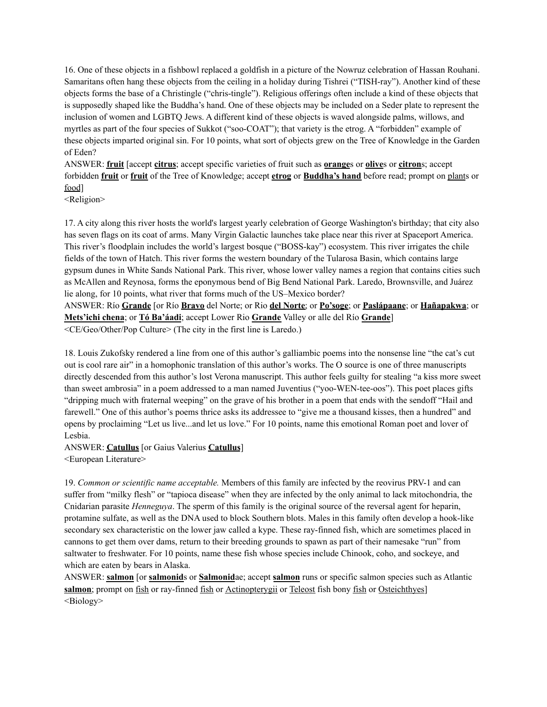16. One of these objects in a fishbowl replaced a goldfish in a picture of the Nowruz celebration of Hassan Rouhani. Samaritans often hang these objects from the ceiling in a holiday during Tishrei ("TISH-ray"). Another kind of these objects forms the base of a Christingle ("chris-tingle"). Religious offerings often include a kind of these objects that is supposedly shaped like the Buddha's hand. One of these objects may be included on a Seder plate to represent the inclusion of women and LGBTQ Jews. A different kind of these objects is waved alongside palms, willows, and myrtles as part of the four species of Sukkot ("soo-COAT"); that variety is the etrog. A "forbidden" example of these objects imparted original sin. For 10 points, what sort of objects grew on the Tree of Knowledge in the Garden of Eden?

ANSWER: **fruit** [accept **citrus**; accept specific varieties of fruit such as **orange**s or **olive**s or **citron**s; accept forbidden **fruit** or **fruit** of the Tree of Knowledge; accept **etrog** or **Buddha's hand** before read; prompt on plants or food]

<Religion>

17. A city along this river hosts the world's largest yearly celebration of George Washington's birthday; that city also has seven flags on its coat of arms. Many Virgin Galactic launches take place near this river at Spaceport America. This river's floodplain includes the world's largest bosque ("BOSS-kay") ecosystem. This river irrigates the chile fields of the town of Hatch. This river forms the western boundary of the Tularosa Basin, which contains large gypsum dunes in White Sands National Park. This river, whose lower valley names a region that contains cities such as McAllen and Reynosa, forms the eponymous bend of Big Bend National Park. Laredo, Brownsville, and Juárez lie along, for 10 points, what river that forms much of the US–Mexico border?

ANSWER: Río **Grande** [or Río **Bravo** del Norte; or Rio **del Norte**; or **Po'soge**; or **Paslápaane**; or **Hañapakwa**; or **Mets'ichi chena**; or **Tó Ba'áadi**; accept Lower Rio **Grande** Valley or alle del Río **Grande**] <CE/Geo/Other/Pop Culture> (The city in the first line is Laredo.)

18. Louis Zukofsky rendered a line from one of this author's galliambic poems into the nonsense line "the cat's cut out is cool rare air" in a homophonic translation of this author's works. The O source is one of three manuscripts directly descended from this author's lost Verona manuscript. This author feels guilty for stealing "a kiss more sweet than sweet ambrosia" in a poem addressed to a man named Juventius ("yoo-WEN-tee-oos"). This poet places gifts "dripping much with fraternal weeping" on the grave of his brother in a poem that ends with the sendoff "Hail and farewell." One of this author's poems thrice asks its addressee to "give me a thousand kisses, then a hundred" and opens by proclaiming "Let us live...and let us love." For 10 points, name this emotional Roman poet and lover of Lesbia.

ANSWER: **Catullus** [or Gaius Valerius **Catullus**]

<European Literature>

19. *Common or scientific name acceptable.* Members of this family are infected by the reovirus PRV-1 and can suffer from "milky flesh" or "tapioca disease" when they are infected by the only animal to lack mitochondria, the Cnidarian parasite *Henneguya*. The sperm of this family is the original source of the reversal agent for heparin, protamine sulfate, as well as the DNA used to block Southern blots. Males in this family often develop a hook-like secondary sex characteristic on the lower jaw called a kype. These ray-finned fish, which are sometimes placed in cannons to get them over dams, return to their breeding grounds to spawn as part of their namesake "run" from saltwater to freshwater. For 10 points, name these fish whose species include Chinook, coho, and sockeye, and which are eaten by bears in Alaska.

ANSWER: **salmon** [or **salmonid**s or **Salmonid**ae; accept **salmon** runs or specific salmon species such as Atlantic salmon; prompt on fish or ray-finned fish or Actinopterygii or Teleost fish bony fish or Osteichthyes] <Biology>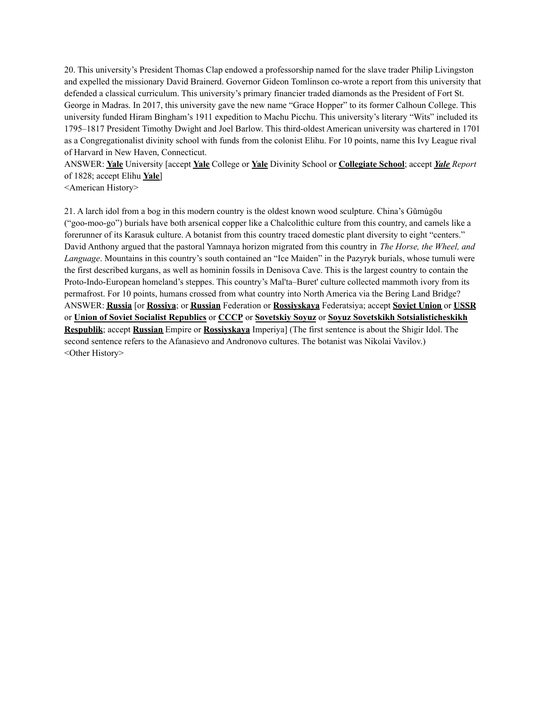20. This university's President Thomas Clap endowed a professorship named for the slave trader Philip Livingston and expelled the missionary David Brainerd. Governor Gideon Tomlinson co-wrote a report from this university that defended a classical curriculum. This university's primary financier traded diamonds as the President of Fort St. George in Madras. In 2017, this university gave the new name "Grace Hopper" to its former Calhoun College. This university funded Hiram Bingham's 1911 expedition to Machu Picchu. This university's literary "Wits" included its 1795–1817 President Timothy Dwight and Joel Barlow. This third-oldest American university was chartered in 1701 as a Congregationalist divinity school with funds from the colonist Elihu. For 10 points, name this Ivy League rival of Harvard in New Haven, Connecticut.

ANSWER: **Yale** University [accept **Yale** College or **Yale** Divinity School or **Collegiate School**; accept *Yale Report* of 1828; accept Elihu **Yale**]

<American History>

21. A larch idol from a bog in this modern country is the oldest known wood sculpture. China's Gǔmùgōu ("goo-moo-go") burials have both arsenical copper like a Chalcolithic culture from this country, and camels like a forerunner of its Karasuk culture. A botanist from this country traced domestic plant diversity to eight "centers." David Anthony argued that the pastoral Yamnaya horizon migrated from this country in *The Horse, the Wheel, and Language*. Mountains in this country's south contained an "Ice Maiden" in the Pazyryk burials, whose tumuli were the first described kurgans, as well as hominin fossils in Denisova Cave. This is the largest country to contain the Proto-Indo-European homeland's steppes. This country's Mal'ta–Buret' culture collected mammoth ivory from its permafrost. For 10 points, humans crossed from what country into North America via the Bering Land Bridge? ANSWER: **Russia** [or **Rossiya**; or **Russian** Federation or **Rossiyskaya** Federatsiya; accept **Soviet Union** or **USSR** or **Union of Soviet Socialist Republics** or **CCCP** or **Sovetskiy Soyuz** or **Soyuz Sovetskikh Sotsialisticheskikh Respublik**; accept **Russian** Empire or **Rossiyskaya** Imperiya] (The first sentence is about the Shigir Idol. The second sentence refers to the Afanasievo and Andronovo cultures. The botanist was Nikolai Vavilov.) <Other History>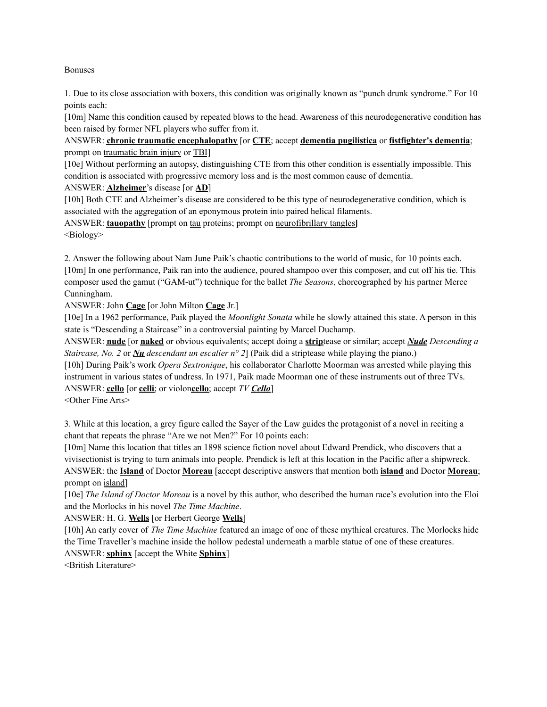Bonuses

1. Due to its close association with boxers, this condition was originally known as "punch drunk syndrome." For 10 points each:

[10m] Name this condition caused by repeated blows to the head. Awareness of this neurodegenerative condition has been raised by former NFL players who suffer from it.

ANSWER: **chronic traumatic encephalopathy** [or **CTE**; accept **dementia pugilistica** or **fistfighter's dementia**; prompt on traumatic brain injury or TBI]

[10e] Without performing an autopsy, distinguishing CTE from this other condition is essentially impossible. This condition is associated with progressive memory loss and is the most common cause of dementia.

ANSWER: **Alzheimer**'s disease [or **AD**]

[10h] Both CTE and Alzheimer's disease are considered to be this type of neurodegenerative condition, which is associated with the aggregation of an eponymous protein into paired helical filaments.

ANSWER: **tauopathy** [prompt on tau proteins; prompt on neurofibrillary tangles**]** <Biology>

2. Answer the following about Nam June Paik's chaotic contributions to the world of music, for 10 points each. [10m] In one performance, Paik ran into the audience, poured shampoo over this composer, and cut off his tie. This composer used the gamut ("GAM-ut") technique for the ballet *The Seasons*, choreographed by his partner Merce Cunningham.

ANSWER: John **Cage** [or John Milton **Cage** Jr.]

[10e] In a 1962 performance, Paik played the *Moonlight Sonata* while he slowly attained this state. A person in this state is "Descending a Staircase" in a controversial painting by Marcel Duchamp.

ANSWER: **nude** [or **naked** or obvious equivalents; accept doing a **strip**tease or similar; accept *Nude Descending a Staircase, No. 2* or *Nu descendant un escalier n° 2*] (Paik did a striptease while playing the piano.)

[10h] During Paik's work *Opera Sextronique*, his collaborator Charlotte Moorman was arrested while playing this instrument in various states of undress. In 1971, Paik made Moorman one of these instruments out of three TVs. ANSWER: **cello** [or **celli**; or violon**cello**; accept *TV Cello*]

<Other Fine Arts>

3. While at this location, a grey figure called the Sayer of the Law guides the protagonist of a novel in reciting a chant that repeats the phrase "Are we not Men?" For 10 points each:

[10m] Name this location that titles an 1898 science fiction novel about Edward Prendick, who discovers that a vivisectionist is trying to turn animals into people. Prendick is left at this location in the Pacific after a shipwreck. ANSWER: the **Island** of Doctor **Moreau** [accept descriptive answers that mention both **island** and Doctor **Moreau**; prompt on island]

[10e] *The Island of Doctor Moreau* is a novel by this author, who described the human race's evolution into the Eloi and the Morlocks in his novel *The Time Machine*.

ANSWER: H. G. **Wells** [or Herbert George **Wells**]

[10h] An early cover of *The Time Machine* featured an image of one of these mythical creatures. The Morlocks hide the Time Traveller's machine inside the hollow pedestal underneath a marble statue of one of these creatures. ANSWER: **sphinx** [accept the White **Sphinx**]

<British Literature>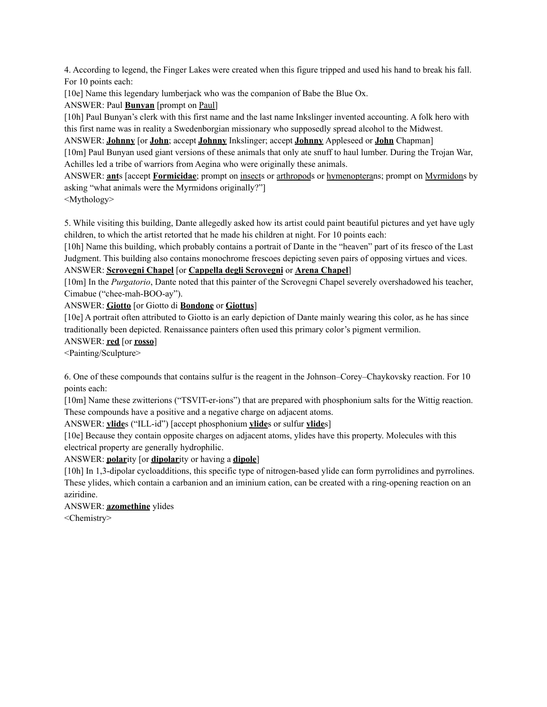4. According to legend, the Finger Lakes were created when this figure tripped and used his hand to break his fall. For 10 points each:

[10e] Name this legendary lumberjack who was the companion of Babe the Blue Ox.

ANSWER: Paul **Bunyan** [prompt on Paul]

[10h] Paul Bunyan's clerk with this first name and the last name Inkslinger invented accounting. A folk hero with this first name was in reality a Swedenborgian missionary who supposedly spread alcohol to the Midwest.

ANSWER: **Johnny** [or **John**; accept **Johnny** Inkslinger; accept **Johnny** Appleseed or **John** Chapman]

[10m] Paul Bunyan used giant versions of these animals that only ate snuff to haul lumber. During the Trojan War, Achilles led a tribe of warriors from Aegina who were originally these animals.

ANSWER: **ant**s [accept **Formicidae**; prompt on insects or arthropods or hymenopterans; prompt on Myrmidons by asking "what animals were the Myrmidons originally?"]

<Mythology>

5. While visiting this building, Dante allegedly asked how its artist could paint beautiful pictures and yet have ugly children, to which the artist retorted that he made his children at night. For 10 points each:

[10h] Name this building, which probably contains a portrait of Dante in the "heaven" part of its fresco of the Last Judgment. This building also contains monochrome frescoes depicting seven pairs of opposing virtues and vices.

## ANSWER: **Scrovegni Chapel** [or **Cappella degli Scrovegni** or **Arena Chapel**]

[10m] In the *Purgatorio*, Dante noted that this painter of the Scrovegni Chapel severely overshadowed his teacher, Cimabue ("chee-mah-BOO-ay").

### ANSWER: **Giotto** [or Giotto di **Bondone** or **Giottus**]

[10e] A portrait often attributed to Giotto is an early depiction of Dante mainly wearing this color, as he has since traditionally been depicted. Renaissance painters often used this primary color's pigment vermilion.

#### ANSWER: **red** [or **rosso**]

<Painting/Sculpture>

6. One of these compounds that contains sulfur is the reagent in the Johnson–Corey–Chaykovsky reaction. For 10 points each:

[10m] Name these zwitterions ("TSVIT-er-ions") that are prepared with phosphonium salts for the Wittig reaction. These compounds have a positive and a negative charge on adjacent atoms.

ANSWER: **ylide**s ("ILL-id") [accept phosphonium **ylide**s or sulfur **ylide**s]

[10e] Because they contain opposite charges on adjacent atoms, ylides have this property. Molecules with this electrical property are generally hydrophilic.

ANSWER: **polar**ity [or **dipolar**ity or having a **dipole**]

[10h] In 1,3-dipolar cycloadditions, this specific type of nitrogen-based ylide can form pyrrolidines and pyrrolines. These ylides, which contain a carbanion and an iminium cation, can be created with a ring-opening reaction on an aziridine.

ANSWER: **azomethine** ylides

<Chemistry>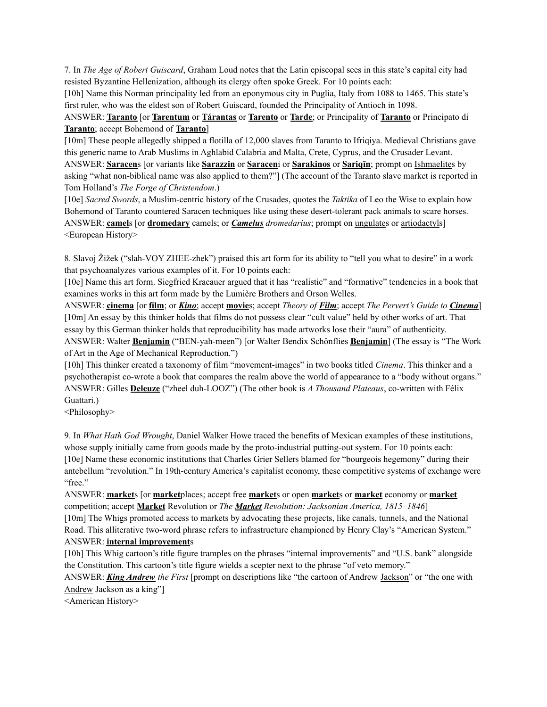7. In *The Age of Robert Guiscard*, Graham Loud notes that the Latin episcopal sees in this state's capital city had resisted Byzantine Hellenization, although its clergy often spoke Greek. For 10 points each:

[10h] Name this Norman principality led from an eponymous city in Puglia, Italy from 1088 to 1465. This state's first ruler, who was the eldest son of Robert Guiscard, founded the Principality of Antioch in 1098.

ANSWER: **Taranto** [or **Tarentum** or **Tárantas** or **Tarento** or **Tarde**; or Principality of **Taranto** or Principato di **Taranto**; accept Bohemond of **Taranto**]

[10m] These people allegedly shipped a flotilla of 12,000 slaves from Taranto to Ifriqiya. Medieval Christians gave this generic name to Arab Muslims in Aghlabid Calabria and Malta, Crete, Cyprus, and the Crusader Levant. ANSWER: **Saracen**s [or variants like **Sarazzin** or **Saracen**i or **Sarakinos** or **Sariqīn**; prompt on Ishmaelites by asking "what non-biblical name was also applied to them?"] (The account of the Taranto slave market is reported in Tom Holland's *The Forge of Christendom*.)

[10e] *Sacred Swords*, a Muslim-centric history of the Crusades, quotes the *Taktika* of Leo the Wise to explain how Bohemond of Taranto countered Saracen techniques like using these desert-tolerant pack animals to scare horses. ANSWER: **camel**s [or **dromedary** camels; or *Camelus dromedarius*; prompt on ungulates or artiodactyls] <European History>

8. Slavoj Žižek ("slah-VOY ZHEE-zhek") praised this art form for its ability to "tell you what to desire" in a work that psychoanalyzes various examples of it. For 10 points each:

[10e] Name this art form. Siegfried Kracauer argued that it has "realistic" and "formative" tendencies in a book that examines works in this art form made by the Lumière Brothers and Orson Welles.

ANSWER: **cinema** [or **film**; or *Kino*; accept **movie**s; accept *Theory of Film*; accept *The Pervert's Guide to Cinema*] [10m] An essay by this thinker holds that films do not possess clear "cult value" held by other works of art. That essay by this German thinker holds that reproducibility has made artworks lose their "aura" of authenticity. ANSWER: Walter **Benjamin** ("BEN-yah-meen") [or Walter Bendix Schönflies **Benjamin**] (The essay is "The Work of Art in the Age of Mechanical Reproduction.")

[10h] This thinker created a taxonomy of film "movement-images" in two books titled *Cinema*. This thinker and a psychotherapist co-wrote a book that compares the realm above the world of appearance to a "body without organs." ANSWER: Gilles **Deleuze** ("zheel duh-LOOZ") (The other book is *A Thousand Plateaus*, co-written with Félix Guattari.)

<Philosophy>

9. In *What Hath God Wrought*, Daniel Walker Howe traced the benefits of Mexican examples of these institutions, whose supply initially came from goods made by the proto-industrial putting-out system. For 10 points each: [10e] Name these economic institutions that Charles Grier Sellers blamed for "bourgeois hegemony" during their antebellum "revolution." In 19th-century America's capitalist economy, these competitive systems of exchange were "free."

ANSWER: **market**s [or **market**places; accept free **market**s or open **market**s or **market** economy or **market** competition; accept **Market** Revolution or *The Market Revolution: Jacksonian America, 1815–1846*] [10m] The Whigs promoted access to markets by advocating these projects, like canals, tunnels, and the National

Road. This alliterative two-word phrase refers to infrastructure championed by Henry Clay's "American System." ANSWER: **internal improvement**s

[10h] This Whig cartoon's title figure tramples on the phrases "internal improvements" and "U.S. bank" alongside the Constitution. This cartoon's title figure wields a scepter next to the phrase "of veto memory."

ANSWER: *King Andrew the First* [prompt on descriptions like "the cartoon of Andrew Jackson" or "the one with Andrew Jackson as a king"]

<American History>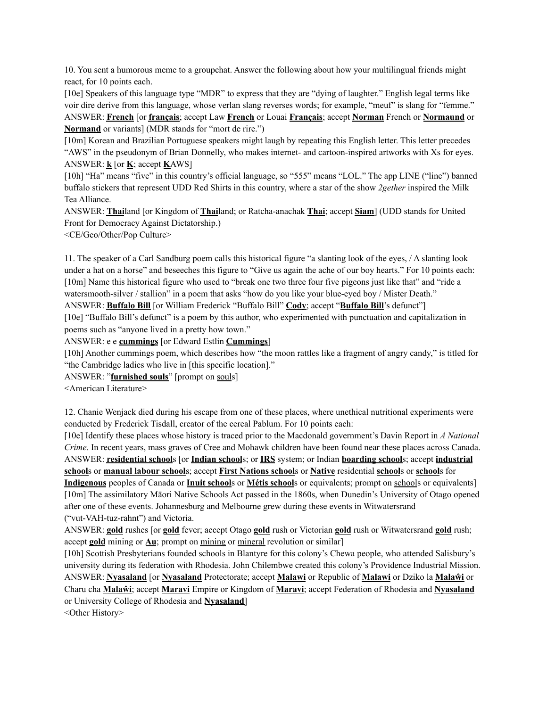10. You sent a humorous meme to a groupchat. Answer the following about how your multilingual friends might react, for 10 points each.

[10e] Speakers of this language type "MDR" to express that they are "dying of laughter." English legal terms like voir dire derive from this language, whose verlan slang reverses words; for example, "meuf" is slang for "femme." ANSWER: **French** [or **français**; accept Law **French** or Louai **Français**; accept **Norman** French or **Normaund** or **Normand** or variants] (MDR stands for "mort de rire.")

[10m] Korean and Brazilian Portuguese speakers might laugh by repeating this English letter. This letter precedes "AWS" in the pseudonym of Brian Donnelly, who makes internet- and cartoon-inspired artworks with Xs for eyes. ANSWER: **k** [or **K**; accept **K**AWS]

[10h] "Ha" means "five" in this country's official language, so "555" means "LOL." The app LINE ("line") banned buffalo stickers that represent UDD Red Shirts in this country, where a star of the show *2gether* inspired the Milk Tea Alliance.

ANSWER: **Thai**land [or Kingdom of **Thai**land; or Ratcha-anachak **Thai**; accept **Siam**] (UDD stands for United Front for Democracy Against Dictatorship.)

<CE/Geo/Other/Pop Culture>

11. The speaker of a Carl Sandburg poem calls this historical figure "a slanting look of the eyes, / A slanting look under a hat on a horse" and beseeches this figure to "Give us again the ache of our boy hearts." For 10 points each: [10m] Name this historical figure who used to "break one two three four five pigeons just like that" and "ride a watersmooth-silver / stallion" in a poem that asks "how do you like your blue-eyed boy / Mister Death." ANSWER: **Buffalo Bill** [or William Frederick "Buffalo Bill" **Cody**; accept "**Buffalo Bill**'s defunct"]

[10e] "Buffalo Bill's defunct" is a poem by this author, who experimented with punctuation and capitalization in poems such as "anyone lived in a pretty how town."

ANSWER: e e **cummings** [or Edward Estlin **Cummings**]

[10h] Another cummings poem, which describes how "the moon rattles like a fragment of angry candy," is titled for "the Cambridge ladies who live in [this specific location]."

ANSWER: "**furnished souls**" [prompt on souls]

<American Literature>

12. Chanie Wenjack died during his escape from one of these places, where unethical nutritional experiments were conducted by Frederick Tisdall, creator of the cereal Pablum. For 10 points each:

[10e] Identify these places whose history is traced prior to the Macdonald government's Davin Report in *A National Crime*. In recent years, mass graves of Cree and Mohawk children have been found near these places across Canada. ANSWER: **residential school**s [or **Indian school**s; or **IRS** system; or Indian **boarding school**s; accept **industrial school**s or **manual labour school**s; accept **First Nations school**s or **Native** residential **school**s or **school**s for **Indigenous** peoples of Canada or **Inuit school**s or **Métis school**s or equivalents; prompt on schools or equivalents] [10m] The assimilatory Māori Native Schools Act passed in the 1860s, when Dunedin's University of Otago opened after one of these events. Johannesburg and Melbourne grew during these events in Witwatersrand ("vut-VAH-tuz-rahnt") and Victoria.

ANSWER: **gold** rushes [or **gold** fever; accept Otago **gold** rush or Victorian **gold** rush or Witwatersrand **gold** rush; accept **gold** mining or **Au**; prompt on mining or mineral revolution or similar]

[10h] Scottish Presbyterians founded schools in Blantyre for this colony's Chewa people, who attended Salisbury's university during its federation with Rhodesia. John Chilembwe created this colony's Providence Industrial Mission. ANSWER: **Nyasaland** [or **Nyasaland** Protectorate; accept **Malawi** or Republic of **Malawi** or Dziko la **Malaŵi** or Charu cha **Malaŵi**; accept **Maravi** Empire or Kingdom of **Maravi**; accept Federation of Rhodesia and **Nyasaland** or University College of Rhodesia and **Nyasaland**]

<Other History>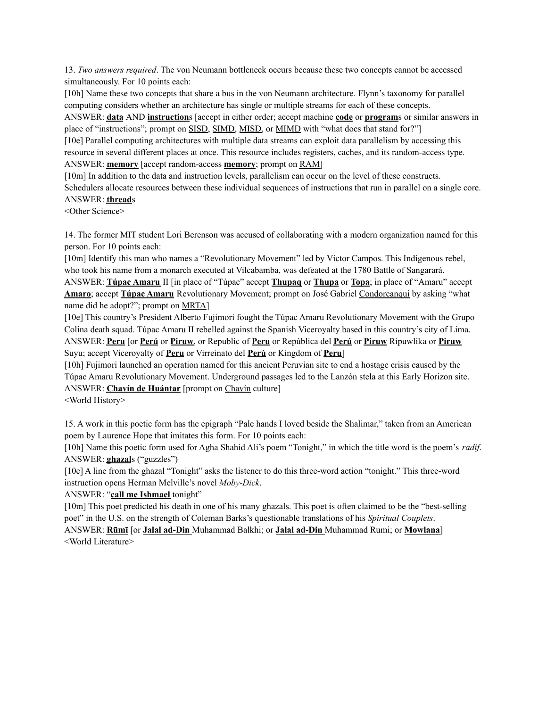13. *Two answers required*. The von Neumann bottleneck occurs because these two concepts cannot be accessed simultaneously. For 10 points each:

[10h] Name these two concepts that share a bus in the von Neumann architecture. Flynn's taxonomy for parallel computing considers whether an architecture has single or multiple streams for each of these concepts.

ANSWER: **data** AND **instruction**s [accept in either order; accept machine **code** or **program**s or similar answers in place of "instructions"; prompt on SISD, SIMD, MISD, or MIMD with "what does that stand for?"]

[10e] Parallel computing architectures with multiple data streams can exploit data parallelism by accessing this resource in several different places at once. This resource includes registers, caches, and its random-access type. ANSWER: **memory** [accept random-access **memory**; prompt on RAM]

[10m] In addition to the data and instruction levels, parallelism can occur on the level of these constructs. Schedulers allocate resources between these individual sequences of instructions that run in parallel on a single core. ANSWER: **thread**s

<Other Science>

14. The former MIT student Lori Berenson was accused of collaborating with a modern organization named for this person. For 10 points each:

[10m] Identify this man who names a "Revolutionary Movement" led by Víctor Campos. This Indigenous rebel, who took his name from a monarch executed at Vilcabamba, was defeated at the 1780 Battle of Sangarará. ANSWER: **Túpac Amaru** II [in place of "Túpac" accept **Thupaq** or **Thupa** or **Topa**; in place of "Amaru" accept **Amaro**; accept **Túpac Amaru** Revolutionary Movement; prompt on José Gabriel Condorcanqui by asking "what name did he adopt?"; prompt on MRTA]

[10e] This country's President Alberto Fujimori fought the Túpac Amaru Revolutionary Movement with the Grupo Colina death squad. Túpac Amaru II rebelled against the Spanish Viceroyalty based in this country's city of Lima. ANSWER: **Peru** [or **Perú** or **Piruw**, or Republic of **Peru** or República del **Perú** or **Piruw** Ripuwlika or **Piruw** Suyu; accept Viceroyalty of **Peru** or Virreinato del **Perú** or Kingdom of **Peru**]

[10h] Fujimori launched an operation named for this ancient Peruvian site to end a hostage crisis caused by the Túpac Amaru Revolutionary Movement. Underground passages led to the Lanzón stela at this Early Horizon site. ANSWER: **Chavín de Huántar** [prompt on Chavín culture]

<World History>

15. A work in this poetic form has the epigraph "Pale hands I loved beside the Shalimar," taken from an American poem by Laurence Hope that imitates this form. For 10 points each:

[10h] Name this poetic form used for Agha Shahid Ali's poem "Tonight," in which the title word is the poem's *radif*. ANSWER: **ghazal**s ("guzzles")

[10e] A line from the ghazal "Tonight" asks the listener to do this three-word action "tonight." This three-word instruction opens Herman Melville's novel *Moby-Dick*.

ANSWER: "**call me Ishmael** tonight"

[10m] This poet predicted his death in one of his many ghazals. This poet is often claimed to be the "best-selling poet" in the U.S. on the strength of Coleman Barks's questionable translations of his *Spiritual Couplets*.

ANSWER: **Rūmī** [or **Jalal ad-Din** Muhammad Balkhi; or **Jalal ad-Din** Muhammad Rumi; or **Mowlana**] <World Literature>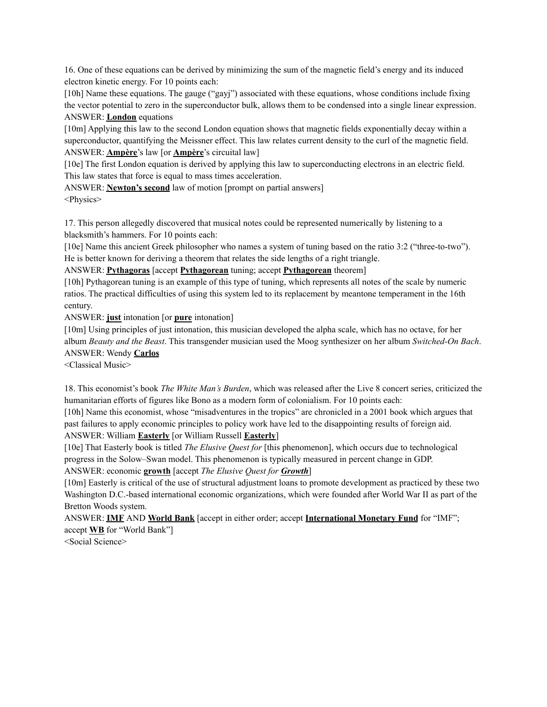16. One of these equations can be derived by minimizing the sum of the magnetic field's energy and its induced electron kinetic energy. For 10 points each:

[10h] Name these equations. The gauge ("gayj") associated with these equations, whose conditions include fixing the vector potential to zero in the superconductor bulk, allows them to be condensed into a single linear expression. ANSWER: **London** equations

[10m] Applying this law to the second London equation shows that magnetic fields exponentially decay within a superconductor, quantifying the Meissner effect. This law relates current density to the curl of the magnetic field. ANSWER: **Ampère**'s law [or **Ampère**'s circuital law]

[10e] The first London equation is derived by applying this law to superconducting electrons in an electric field. This law states that force is equal to mass times acceleration.

ANSWER: **Newton's second** law of motion [prompt on partial answers] <Physics>

17. This person allegedly discovered that musical notes could be represented numerically by listening to a blacksmith's hammers. For 10 points each:

[10e] Name this ancient Greek philosopher who names a system of tuning based on the ratio 3:2 ("three-to-two"). He is better known for deriving a theorem that relates the side lengths of a right triangle.

ANSWER: **Pythagoras** [accept **Pythagorean** tuning; accept **Pythagorean** theorem]

[10h] Pythagorean tuning is an example of this type of tuning, which represents all notes of the scale by numeric ratios. The practical difficulties of using this system led to its replacement by meantone temperament in the 16th century.

ANSWER: **just** intonation [or **pure** intonation]

[10m] Using principles of just intonation, this musician developed the alpha scale, which has no octave, for her album *Beauty and the Beast*. This transgender musician used the Moog synthesizer on her album *Switched-On Bach*. ANSWER: Wendy **Carlos**

<Classical Music>

18. This economist's book *The White Man's Burden*, which was released after the Live 8 concert series, criticized the humanitarian efforts of figures like Bono as a modern form of colonialism. For 10 points each:

[10h] Name this economist, whose "misadventures in the tropics" are chronicled in a 2001 book which argues that past failures to apply economic principles to policy work have led to the disappointing results of foreign aid.

ANSWER: William **Easterly** [or William Russell **Easterly**]

[10e] That Easterly book is titled *The Elusive Quest for* [this phenomenon], which occurs due to technological progress in the Solow–Swan model. This phenomenon is typically measured in percent change in GDP.

ANSWER: economic **growth** [accept *The Elusive Quest for Growth*]

[10m] Easterly is critical of the use of structural adjustment loans to promote development as practiced by these two Washington D.C.-based international economic organizations, which were founded after World War II as part of the Bretton Woods system.

ANSWER: **IMF** AND **World Bank** [accept in either order; accept **International Monetary Fund** for "IMF"; accept **WB** for "World Bank"]

<Social Science>